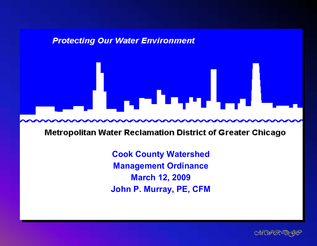#### **Protecting Our Water Environment**

# a ya Marekani

**Metropolitan Water Reclamation District of Greater Chicago** 

**Cook County Watershed Management Ordinance March 12, 2009 March 12, 2009 John P. Murray, PE, CFM John P. Murray, PE, CFM**

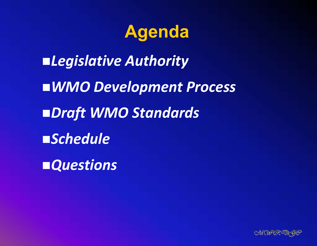## **Agenda**

*Legislative Authority WMO Development Process Draft WMO Standards Schedule Questions*

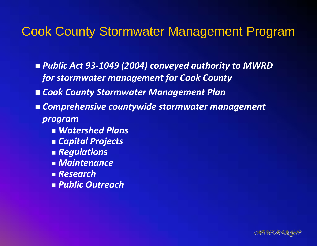#### Cook County Stormwater Management Program

 *Public Act 93 ‐1049 (2004) conveyed authority to MWRD for stormwater management for Cook County*

- *Cook County Stormwater Management Plan*
- *Comprehensive countywide stormwater management program*
	- *Watershed Plans*
	- *Capital Projects*
	- *Regulations*
	- *Maintenance*
	- *Research*
	- *Public Outreach*

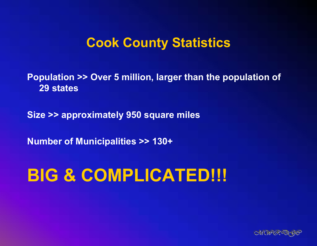#### **Cook County Statistics**

**Population >> Over 5 million, larger than the population of 29 states**

**Size >> approximately 950 square miles**

**Number of Municipalities >> 130+**

## **BIG & COMPLICATED!!!**

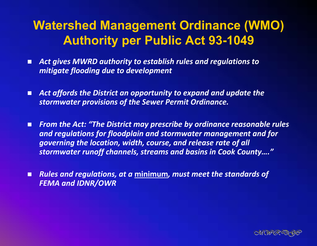#### **Watershed Management Ordinance (WMO) Authority per Public Act 93-1049**

- $\blacksquare$  *Act gives MWRD authority to establish rules and regulations to mitigate flooding due to development*
- П *Act affords the District an opportunity to expand and update the stormwater provisions of the Sewer Permit Ordinance.*
- О *From the Act: "The District may prescribe by ordinance reasonable rules and regulations for floodplain and stormwater management and for governing the location, width, course, and release rate of all stormwater runoff channels, streams and basins in Cook County…."*
- $\Box$  *Rules and regulations, at a* **minimum***, must meet the standards of FEMA and IDNR/OWR*

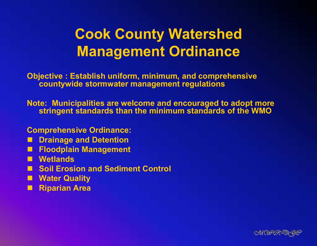#### **Cook County Watershed Management Ordinance**

**Objective : Establish uniform, minimum, and comprehensive countywide stormwater management regulations**

**Note: Municipalities are welcome and encouraged to adopt more stringent standards than the minimum standards of the WMO**

**Comprehensive Ordinance:**

- **Drainage and Detention**
- **Floodplain Management**
- **Wetlands**
- Soil Erosion and Sediment Control
- **Water Quality**
- **Riparian Area**

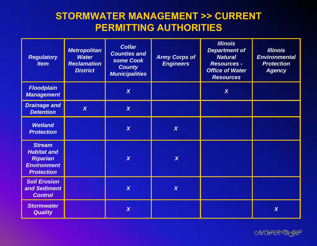#### **STORMWATER MANAGEMENT >> CURRENT PERMITTING AUTHORITIES**

| <b>Regulatory</b><br><b>Item</b>                                                                  | <b>Metropolitan</b><br><b>Water</b><br><b>Reclamation</b><br><b>District</b> | <b>Collar</b><br><b>Counties and</b><br>some Cook<br><b>County</b><br><b>Municipalities</b> | <b>Army Corps of</b><br><b>Engineers</b> | <b>Illinois</b><br><b>Department of</b><br><b>Natural</b><br><b>Resources -</b><br><b>Office of Water</b><br><b>Resources</b> | <b>Illinois</b><br><b>Environmental</b><br><b>Protection</b><br><b>Agency</b> |
|---------------------------------------------------------------------------------------------------|------------------------------------------------------------------------------|---------------------------------------------------------------------------------------------|------------------------------------------|-------------------------------------------------------------------------------------------------------------------------------|-------------------------------------------------------------------------------|
| <b>Floodplain</b><br><b>Management</b>                                                            |                                                                              | $\boldsymbol{X}$                                                                            |                                          | $\boldsymbol{X}$                                                                                                              |                                                                               |
| <b>Drainage and</b><br><b>Detention</b>                                                           | $\boldsymbol{X}$                                                             | $\overline{\mathsf{X}}$                                                                     |                                          |                                                                                                                               |                                                                               |
| <b>Wetland</b><br><b>Protection</b>                                                               |                                                                              | $\overline{\mathsf{X}}$                                                                     | $\boldsymbol{X}$                         |                                                                                                                               |                                                                               |
| <b>Stream</b><br><b>Habitat and</b><br><b>Riparian</b><br><b>Environment</b><br><b>Protection</b> |                                                                              | $\overline{\mathsf{X}}$                                                                     | $\boldsymbol{X}$                         |                                                                                                                               |                                                                               |
| <b>Soil Erosion</b><br>and Sediment<br><b>Control</b>                                             |                                                                              | $\boldsymbol{\chi}$                                                                         | $\boldsymbol{X}$                         |                                                                                                                               |                                                                               |
| <b>Stormwater</b><br><b>Quality</b>                                                               |                                                                              | $\boldsymbol{\chi}$                                                                         |                                          |                                                                                                                               | $\boldsymbol{X}$                                                              |

CHAFGEER 96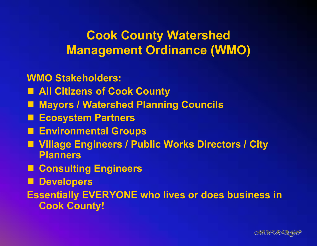#### **Cook County Watershed Management Ordinance (WMO)**

#### **WMO Stakeholders:**

- **All Citizens of Cook County**
- **Mayors / Watershed Planning Councils**
- **Ecosystem Partners**
- **Environmental Groups**
- **Village Engineers / Public Works Directors / City Planners**
- Consulting Engineers
- Developers

**Essentially EVERYONE who lives or does business in Cook County!**

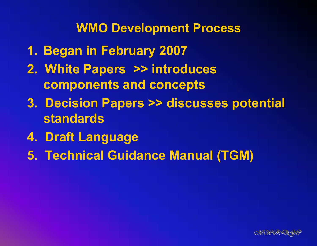- **1. Began in February 2007**
- **2. White Papers >> introduces components and concepts**
- **3. Decision Papers >> discusses potential standards**
- **4. Draft Language**
- **5. Technical Guidance Manual (TGM)**

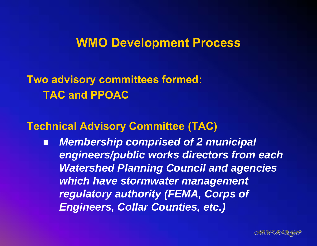**Two advisory committees formed: TAC and PPOAC**

#### **Technical Advisory Committee (TAC)**

П *Membership comprised of 2 municipal engineers/public works directors from each Watershed Planning Council and agencies which have stormwater management regulatory authority (FEMA, Corps of Engineers, Collar Counties, etc.)*

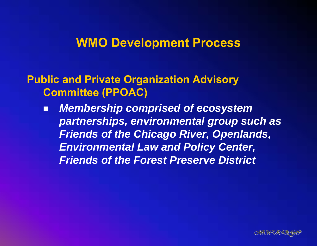#### **Public and Private Organization Advisory Committee (PPOAC)**

 *Membership comprised of ecosystem partnerships, environmental group such as Friends of the Chicago River, Openlands, Environmental Law and Policy Center, Friends of the Forest Preserve District* 

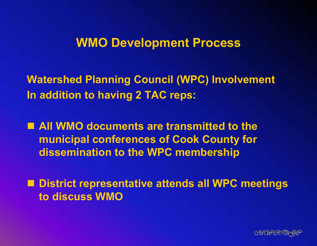**Watershed Planning Council (WPC) Involvement In addition to having 2 TAC reps:**

■ All WMO documents are transmitted to the **municipal conferences of Cook County for dissemination to the WPC membership**

■ District representative attends all WPC meetings **to discuss WMO**

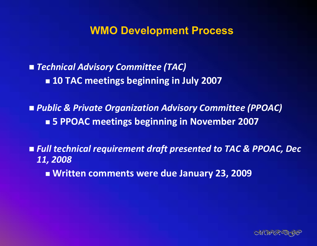*Technical Advisory Committee (TAC)* **10 TAC meetings beginning in July 2007**

 *Public & Private Organization Advisory Committee (PPOAC)* **5 PPOAC meetings beginning in November 2007**

 *Full technical requirement draft presented to TAC & PPOAC, Dec 11, 2008*

**Written comments were due January 23, 2009**

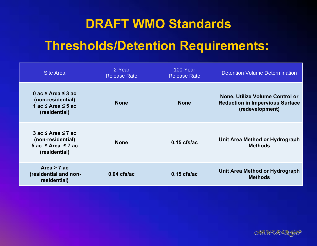#### **DRAFT WMO Standards**

#### **Thresholds/Detention Requirements:**

| <b>Site Area</b>                                                                                       | 2-Year<br><b>Release Rate</b> | 100-Year<br><b>Release Rate</b> | <b>Detention Volume Determination</b>                                                        |  |
|--------------------------------------------------------------------------------------------------------|-------------------------------|---------------------------------|----------------------------------------------------------------------------------------------|--|
| 0 ac $\leq$ Area $\leq$ 3 ac<br>(non-residential)<br>1 ac $\leq$ Area $\leq$ 5 ac<br>(residential)     | <b>None</b>                   | <b>None</b>                     | None, Utilize Volume Control or<br><b>Reduction in Impervious Surface</b><br>(redevelopment) |  |
| $3$ ac $\leq$ Area $\leq$ 7 ac<br>(non-residential)<br>$5$ ac $\leq$ Area $\leq$ 7 ac<br>(residential) | <b>None</b>                   | $0.15$ cfs/ac                   | Unit Area Method or Hydrograph<br><b>Methods</b>                                             |  |
| Area $> 7$ ac<br>(residential and non-<br>residential)                                                 | $0.04$ cfs/ac                 | $0.15$ cfs/ac                   | Unit Area Method or Hydrograph<br><b>Methods</b>                                             |  |

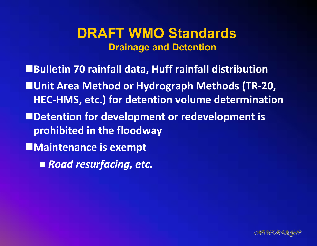#### **DRAFT WMO StandardsDrainage and Detention**

- **Bulletin 70 rainfall data, Huff rainfall distribution Unit Area Method or Hydrograph Methods (TR‐20, HEC‐HMS, etc.) for detention volume determination**
- **Detention for development or redevelopment is prohibited in the floodway**
- **Maintenance is exempt**
	- *Road resurfacing, etc.*

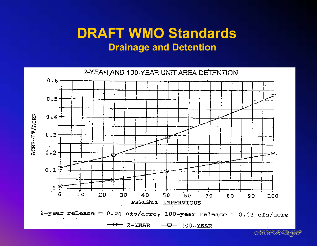#### **DRAFT WMO Standards Drainage and Detention**



CHAFER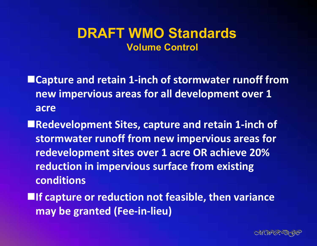#### **DRAFT WMO Standards Volume Control**

- **Capture and retain 1‐inch of stormwater runoff from new impervious areas for all development over 1 acre**
- **Redevelopment Sites, capture and retain 1‐inch of stormwater runoff from new impervious areas for redevelopment sites over 1 acre OR achieve 20% reduction in impervious surface from existing conditions**
- **If capture or reduction not feasible, then variance may be granted (Fee‐in‐lieu)**

![](_page_16_Picture_4.jpeg)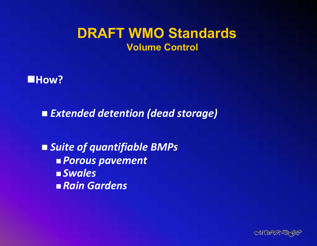#### **DRAFT WMO Standards Volume Control**

![](_page_17_Picture_1.jpeg)

*Extended detention (dead storage)*

 *Suite of quantifiable BMPs Porous pavement Swales Rain Gardens*

![](_page_17_Picture_4.jpeg)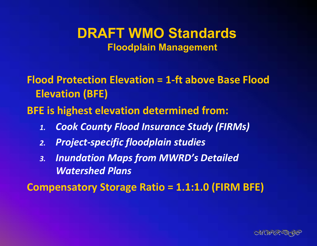#### **DRAFT WMO StandardsFloodplain Management**

**Flood Protection Elevation <sup>=</sup> 1‐ft above Base Flood Elevation (BFE)**

**BFE is highest elevation determined from:**

- *1.Cook County Flood Insurance Study (FIRMs)*
- *2.Project‐specific floodplain studies*
- *3. Inundation Maps from MWRD's Detailed Watershed Plans*

**Compensatory Storage Ratio <sup>=</sup> 1.1:1.0 (FIRM BFE)**

![](_page_18_Picture_7.jpeg)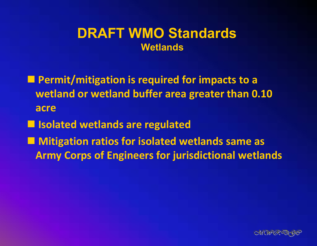#### **DRAFT WMO StandardsWetlands**

 **Permit/mitigation is required for impacts to <sup>a</sup> wetland or wetland buffer area greater than 0.10 acre**

**Isolated wetlands are regulated**

 **Mitigation ratios for isolated wetlands same as Army Corps of Engineers for jurisdictional wetlands**

![](_page_19_Picture_4.jpeg)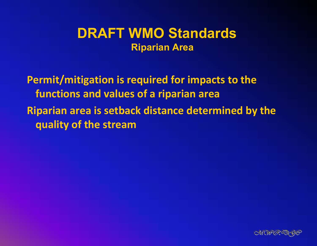#### **DRAFT WMO Standards Riparian Area**

**Permit/mitigation is required for impacts to the functions and values of <sup>a</sup> riparian area Riparian area is setback distance determined by the quality of the stream**

![](_page_20_Picture_2.jpeg)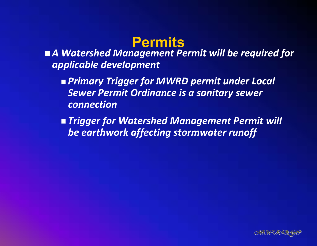#### **Permits**

 *A Watershed Management Permit will be required for applicable development*

 *Primary Trigger for MWRD permit under Local Sewer Permit Ordinance is a sanitary sewer connection*

 *Trigger for Watershed Management Permit will be earthwork affecting stormwater runoff*

![](_page_21_Picture_4.jpeg)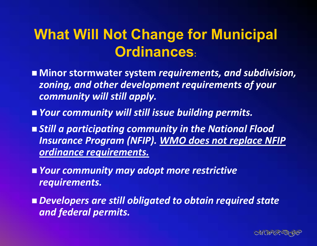#### **What Will Not Change for Municipal Ordinances:**

- **Minor stormwater system** *requirements, and subdivision, zoning, and other development requirements of your community will still apply.*
- *Your community will still issue building permits.*
- *Still a participating community in the National Flood Insurance Program (NFIP). WMO does not replace NFIP ordinance requirements.*
- *Your community may adopt more restrictive requirements.*
- *Developers are still obligated to obtain required state and federal permits.*

![](_page_22_Picture_6.jpeg)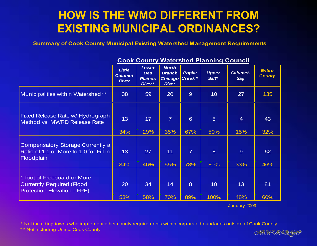#### **HOW IS THE WMO DIFFERENT FROM EXISTING MUNICIPAL ORDINANCES?**

**Summary of Cook County Municipal Existing Watershed Management Requirements**

|                                                                                                       | <b>Little</b><br><b>Calumet</b><br><b>River</b> | <b>Lower</b><br><b>Des</b><br><b>Plaines</b><br>River* | <b>North</b><br><b>Branch</b><br><b>Chicago</b> Creek *<br><b>River</b> | <b>Poplar</b>         | <b>Upper</b><br>Salt* | <b>Calumet-</b><br><b>Sag</b> | <b>Entire</b><br><b>County</b> |
|-------------------------------------------------------------------------------------------------------|-------------------------------------------------|--------------------------------------------------------|-------------------------------------------------------------------------|-----------------------|-----------------------|-------------------------------|--------------------------------|
| Municipalities within Watershed**                                                                     | 38                                              | 59                                                     | 20                                                                      | 9                     | 10 <sup>°</sup>       | 27                            | 135                            |
| Fixed Release Rate w/ Hydrograph<br>Method vs. MWRD Release Rate                                      | 13<br>34%                                       | 17<br>29%                                              | $\overline{7}$<br>35%                                                   | 6<br>67%              | 5 <sup>5</sup><br>50% | $\overline{4}$<br>15%         | 43<br>32%                      |
| <b>Compensatory Storage Currently a</b><br>Ratio of 1.1 or More to 1.0 for Fill in<br>Floodplain      | 13 <sup>°</sup><br>34%                          | 27<br>46%                                              | 11<br>55%                                                               | $\overline{7}$<br>78% | 8<br>80%              | 9<br>33%                      | 62<br>46%                      |
| 1 foot of Freeboard or More<br><b>Currently Required (Flood</b><br><b>Protection Elevation - FPE)</b> | 20<br>53%                                       | 34<br>58%                                              | 14<br>70%                                                               | 8<br>89%              | 10<br>100%            | 13<br>48%                     | 81<br>60%                      |

#### **Cook County Watershed Planning Council**

January 2009

\* Not including towns who implement other county requirements within corporate boundaries outside of Cook County.

\*\* Not including Uninc. Cook County

CHAPGRED 96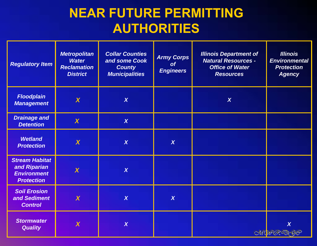#### **NEAR FUTURE PERMITTING AUTHORITIES**

| <b>Regulatory Item</b>                                                           | <b>Metropolitan</b><br><b>Water</b><br><b>Reclamation</b><br><b>District</b> | <b>Collar Counties</b><br>and some Cook<br><b>County</b><br><b>Municipalities</b> | <b>Army Corps</b><br>of<br><b>Engineers</b> | <b>Illinois Department of</b><br><b>Natural Resources -</b><br><b>Office of Water</b><br><b>Resources</b> | <b>Illinois</b><br><b>Environmental</b><br><b>Protection</b><br><b>Agency</b> |
|----------------------------------------------------------------------------------|------------------------------------------------------------------------------|-----------------------------------------------------------------------------------|---------------------------------------------|-----------------------------------------------------------------------------------------------------------|-------------------------------------------------------------------------------|
| <b>Floodplain</b><br><b>Management</b>                                           | $\boldsymbol{X}$                                                             | $\boldsymbol{X}$                                                                  |                                             | $\boldsymbol{X}$                                                                                          |                                                                               |
| <b>Drainage and</b><br><b>Detention</b>                                          | $\boldsymbol{\chi}$                                                          | $\chi$                                                                            |                                             |                                                                                                           |                                                                               |
| <b>Wetland</b><br><b>Protection</b>                                              | $\boldsymbol{X}$                                                             | $\boldsymbol{X}$                                                                  | $\boldsymbol{X}$                            |                                                                                                           |                                                                               |
| <b>Stream Habitat</b><br>and Riparian<br><b>Environment</b><br><b>Protection</b> | $\overline{\mathsf{X}}$                                                      | $\boldsymbol{X}$                                                                  |                                             |                                                                                                           |                                                                               |
| <b>Soil Erosion</b><br>and Sediment<br><b>Control</b>                            | $\overline{\textbf{X}}$                                                      | $\boldsymbol{X}$                                                                  | $\boldsymbol{X}$                            |                                                                                                           |                                                                               |
| <b>Stormwater</b><br><b>Quality</b>                                              | $\overline{\bm{X}}$                                                          | $\chi$                                                                            |                                             |                                                                                                           | $\overline{\mathsf{X}}$<br>CHUFGRET 96                                        |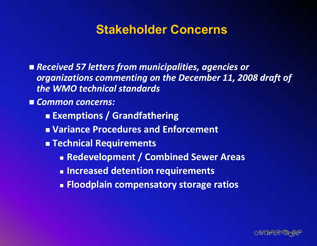#### **Stakeholder Concerns**

- *Received 57 letters from municipalities, agencies or organizations commenting on the December 11, 2008 draft of the WMO technical standards*
- *Common concerns:*
	- **Exemptions / Grandfathering**
	- **Variance Procedures and Enforcement**
	- **Technical Requirements**
		- **Redevelopment / Combined Sewer Areas**
		- **Increased detention requirements**
		- **Floodplain compensatory storage ratios**

![](_page_25_Picture_9.jpeg)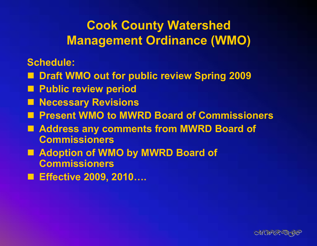#### **Cook County Watershed Management Ordinance (WMO)**

**Schedule:**

- Draft WMO out for public review Spring 2009
- Public review period
- Necessary Revisions
- Present WMO to MWRD Board of Commissioners
- Address any comments from **MWRD Board of Commissioners**
- Adoption of WMO by MWRD Board of **Commissioners**
- Effective 2009, 2010....

![](_page_26_Picture_9.jpeg)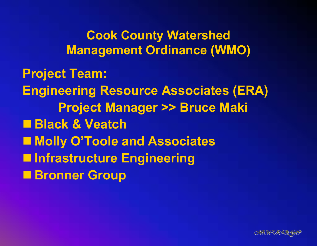**Cook County Watershed Management Ordinance (WMO)**

**Project Team: Engineering Resource Associates (ERA) Project Manager >> Bruce Maki Black & Veatch Molly O'Toole and Associates Infrastructure Engineering Bronner Group**

![](_page_27_Picture_2.jpeg)